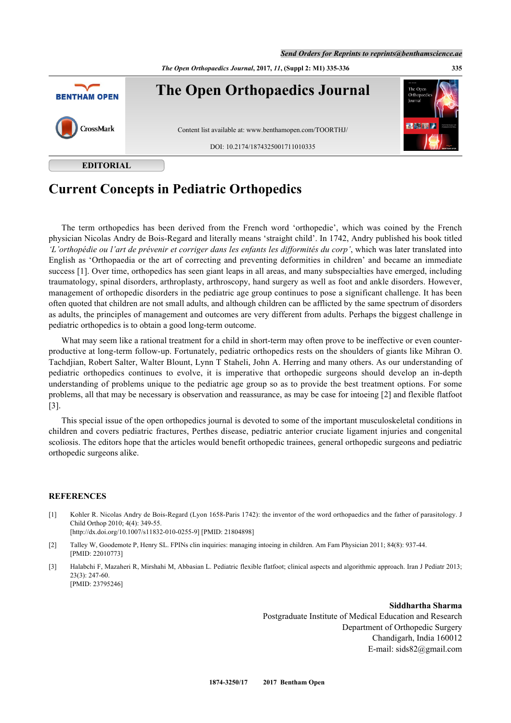*The Open Orthopaedics Journal***, 2017,** *11***, (Suppl 2: M1) 335-336 335**



**EDITORIAL**

## **Current Concepts in Pediatric Orthopedics**

The term orthopedics has been derived from the French word 'orthopedie', which was coined by the French physician Nicolas Andry de Bois-Regard and literally means 'straight child'. In 1742, Andry published his book titled *'L'orthopédie ou l'art de prévenir et corriger dans les enfants les difformités du corp'*, which was later translated into English as 'Orthopaedia or the art of correcting and preventing deformities in children' and became an immediate success [\[1](#page-0-0)]. Over time, orthopedics has seen giant leaps in all areas, and many subspecialties have emerged, including traumatology, spinal disorders, arthroplasty, arthroscopy, hand surgery as well as foot and ankle disorders. However, management of orthopedic disorders in the pediatric age group continues to pose a significant challenge. It has been often quoted that children are not small adults, and although children can be afflicted by the same spectrum of disorders as adults, the principles of management and outcomes are very different from adults. Perhaps the biggest challenge in pediatric orthopedics is to obtain a good long-term outcome.

What may seem like a rational treatment for a child in short-term may often prove to be ineffective or even counterproductive at long-term follow-up. Fortunately, pediatric orthopedics rests on the shoulders of giants like Mihran O. Tachdjian, Robert Salter, Walter Blount, Lynn T Staheli, John A. Herring and many others. As our understanding of pediatric orthopedics continues to evolve, it is imperative that orthopedic surgeons should develop an in-depth understanding of problems unique to the pediatric age group so as to provide the best treatment options. For some problems, all that may be necessary is observation and reassurance, as may be case for intoeing [[2\]](#page-0-1) and flexible flatfoot [\[3](#page-0-2)].

This special issue of the open orthopedics journal is devoted to some of the important musculoskeletal conditions in children and covers pediatric fractures, Perthes disease, pediatric anterior cruciate ligament injuries and congenital scoliosis. The editors hope that the articles would benefit orthopedic trainees, general orthopedic surgeons and pediatric orthopedic surgeons alike.

## **REFERENCES**

- <span id="page-0-0"></span>[1] Kohler R. Nicolas Andry de Bois-Regard (Lyon 1658-Paris 1742): the inventor of the word orthopaedics and the father of parasitology. J Child Orthop 2010; 4(4): 349-55. [\[http://dx.doi.org/10.1007/s11832-010-0255-9\]](http://dx.doi.org/10.1007/s11832-010-0255-9) [PMID: [21804898](http://www.ncbi.nlm.nih.gov/pubmed/21804898)]
- <span id="page-0-1"></span>[2] Talley W, Goodemote P, Henry SL. FPINs clin inquiries: managing intoeing in children. Am Fam Physician 2011; 84(8): 937-44. [PMID: [22010773\]](http://www.ncbi.nlm.nih.gov/pubmed/22010773)
- <span id="page-0-2"></span>[3] Halabchi F, Mazaheri R, Mirshahi M, Abbasian L. Pediatric flexible flatfoot; clinical aspects and algorithmic approach. Iran J Pediatr 2013; 23(3): 247-60. [PMID: [23795246\]](http://www.ncbi.nlm.nih.gov/pubmed/23795246)

**Siddhartha Sharma** Postgraduate Institute of Medical Education and Research Department of Orthopedic Surgery Chandigarh, India 160012 E-mail: sids82@gmail.com